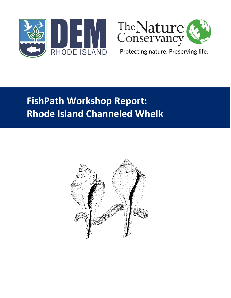



Protecting nature. Preserving life.

# **FishPath Workshop Report: Rhode Island Channeled Whelk**

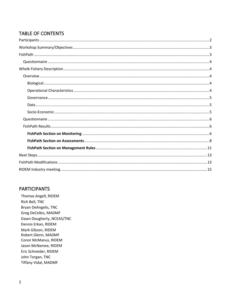# **TABLE OF CONTENTS**

## <span id="page-1-0"></span>**PARTICIPANTS**

Thomas Angell, RIDEM Rich Bell, TNC Bryan DeAngelis, TNC Greg DeCelles, MADMF Dawn Dougherty, NCEAS/TNC Dennis Erkan, RIDEM Mark Gibson, RIDEM Robert Glenn, MADMF Conor McManus, RIDEM Jason McNamee, RIDEM Eric Schneider, RIDEM John Torgan, TNC **Tiffany Vidal, MADMF**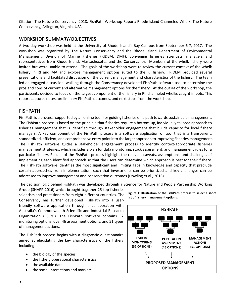Citation: The Nature Conservancy. 2018. FishPath Workshop Report: Rhode Island Channeled Whelk. The Nature Conservancy, Arlington, Virginia, USA.

# <span id="page-2-0"></span>WORKSHOP SUMMARY/OBJECTIVES

A two-day workshop was held at the University of Rhode Island's Bay Campus from September 6-7, 2017. The workshop was organized by The Nature Conservancy and the Rhode Island Department of Environmental Management, Division of Marine Fisheries (RIDEM, DMF), convening fisheries scientists, managers and representatives from Rhode Island, Massachusetts, and the Conservancy. Members of the whelk fishery were invited but were unable to attend. The goals of the workshop were to review the current context of the whelk fishery in RI and MA and explore management options suited to the RI fishery. RIDEM provided several presentations and facilitated discussion on the current management and characteristics of the fishery. The team led an engaged discussion, walking through the Conservancy-developed FishPath software tool to determine the pros and cons of current and alternative management options for the fishery. At the outset of the workshop, the participants decided to focus on the largest component of the fishery in RI, channeled whelks caught in pots. This report captures notes, preliminary FishPath outcomes, and next steps from the workshop.

## <span id="page-2-1"></span>FISHPATH

FishPath is a process, supported by an online tool, for guiding fisheries on a path towards sustainable management. The FishPath process is based on the principle that fisheries require a bottom-up, individually tailored approach to fisheries management that is identified through stakeholder engagement that builds capacity for local fishery managers. A key component of the FishPath process is a software application or tool that is a transparent, standardized, efficient, and comprehensive entry point into the larger approach to improving fisheries management. The FishPath software guides a stakeholder engagement process to identify context-appropriate fisheries management strategies, which includes a plan for data monitoring, stock assessment, and management rules for a particular fishery. Results of the FishPath process highlight the relevant caveats, assumptions, and challenges of implementing each identified approach so that the users can determine which approach is best for their fishery. The FishPath software identifies the most significant and limiting gaps in knowledge and capacity that preclude certain approaches from implementation, such that investments can be prioritized and key challenges can be addressed to improve management and conservation outcomes (Dowling et al., 2016).

The decision logic behind FishPath was developed through a Science for Nature and People Partnership Working

Group (SNAPP 2016) which brought together 25 top fisheries scientists and practitioners from eight different countries. The Conservancy has further developed FishPath into a userfriendly software application through a collaboration with Australia's Commonwealth Scientific and Industrial Research Organization (CSIRO). The FishPath software contains 52 monitoring options, over 46 assessment options, and 51 types of management actions.

The FishPath process begins with a diagnostic questionnaire aimed at elucidating the key characteristics of the fishery including:

- the biology of the species
- the fishery operational characteristics
- the available data
- the social interactions and markets

**Figure 1: Illustration of the FishPath process to select a short list of fishery management options.**

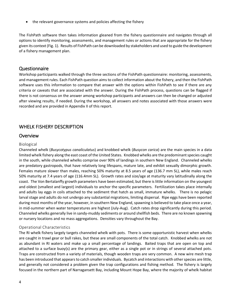• the relevant governance systems and policies affecting the fishery

The FishPath software then takes information gleaned from the fishery questionnaire and navigates through all options to identify monitoring, assessments, and management rules or actions that are appropriate for the fishery given its context (Fig. 1). Results of FishPath can be downloaded by stakeholders and used to guide the development of a fishery management plan.

## <span id="page-3-0"></span>Questionnaire

Workshop participants walked through the three sections of the FishPath questionnaire: monitoring, assessments, and management rules. Each FishPath question aims to collect information about the fishery, and then the FishPath software uses this information to compare that answer with the options within FishPath to see if there are any criteria or caveats that are associated with the answer. During the FishPath process, questions can be flagged if there is not consensus on the answer among workshop participants and answers can then be changed or adjusted after viewing results, if needed. During the workshop, all answers and notes associated with those answers were recorded and are provided in Appendix II of this report.

# <span id="page-3-1"></span>WHELK FISHERY DESCRIPTION

## <span id="page-3-2"></span>**Overview**

## <span id="page-3-3"></span>Biological

Channeled whelk (*Busycotypus canaliculatus*) and knobbed whelk (*Busycon carica*) are the main species in a data limited whelk fishery along the east coast of the United States. Knobbed whelks are the predominant species caught in the south, while channeled whelks comprise over 90% of landings in southern New England. Channeled whelks are predatory gastropods, that have relatively long lifespans, mature late, and exhibit sexually dimorphic growth. Females mature slower than males, reaching 50% maturity at 8.5 years of age (136.7 mm SL), while males reach 50% maturity at 7.4 years of age (116.4mm SL). Growth rates and size/age at maturity vary latitudinally along the coast. The Von Bertalanffy growth parameters have been estimated, but there is little information on the youngest and oldest (smallest and largest) individuals to anchor the specific parameters. Fertilization takes place internally and adults lay eggs in coils attached to the sediment that hatch as small, immature whelks. There is no pelagic larval stage and adults do not undergo any substantial migrations, limiting dispersal. Ripe eggs have been reported during most months of the year, however, in southern New England, spawning is believed to take place once a year, in mid-summer when water temperatures are highest (July-Aug). Catch rates drop significantly during this period. Channeled whelks generally live in sandy-muddy sediments or around shellfish beds. There are no known spawning or nursery locations and no mass aggregations. Densities vary throughout the Bay.

## <span id="page-3-4"></span>Operational Characteristics

The RI whelk fishery largely targets channeled whelk with pots. There is some opportunistic harvest when whelks are caught in trawl gear or bull rakes, but these are small components of the total catch. Knobbed whelks are not as abundant in RI waters and make up a small percentage of landings. Baited traps that are open on top and attached to a surface buoy(s) are the primary gear, either as a single pot or in strings of several attached pots. Traps are constructed from a variety of materials, though wooden traps are very common. A new wire mesh trap has been introduced that appears to catch smaller individuals. Bycatch and interactions with other species are little, and generally not considered a problem given the trap configurations and fishing method. The fishery is largely focused in the northern part of Narragansett Bay, including Mount Hope Bay, where the majority of whelk habitat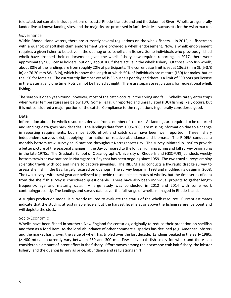is located, but can also include portions of coastal Rhode Island Sound and the Sakonnet River. Whelks are generally landed live at known landing sites, and the majority are processed in facilities in Massachusetts for the Asian market.

#### <span id="page-4-0"></span>Governance

Within Rhode Island waters, there are currently several regulations on the whelk fishery. In 2012, all fishermen with a quahog or softshell clam endorsement were provided a whelk endorsement. Now, a whelk endorsement requires a given fisher to be active in the quahog or softshell clam fishery. Some individuals who previously fished whelk have dropped their endorsement given the whelk fishery now requires reporting. In 2017, there were approximately 900 license holders, but only about 100 fishers active in the whelk fishery. Of those who fish whelk, about 80% of the landings are from roughly 20% of participants. The current size limit is set at 136.53 mm SL (5-3/8 in) or 76.20 mm SW (3 in), which is above the length at which 50% of individuals are mature (L50) for males, but at the L50 for females. The current trip limit per vessel is 35 bushels per day and there is a limit of 300 pots per license in the water at any one time. Pots cannot be hauled at night. There are separate regulations for recreational whelk fishing.

The season is open year-round; however, most of the catch occurs in the spring and fall. Whelks rarely enter traps when water temperatures are below 10°C. Some illegal, unreported and unregulated (IUU) fishing likely occurs, but it is not considered a major portion of the catch. Compliance to the regulations is generally considered good.

#### <span id="page-4-1"></span>Data

Information about the whelk resource is derived from a number of sources. All landings are required to be reported and landings data goes back decades. The landings data from 1995-2005 are missing information due to a change in reporting requirements, but since 2006, effort and catch data have been well reported. Three fishery independent surveys exist, supplying information on relative abundance and biomass. The RIDEM conducts a monthly bottom trawl survey at 15 stations throughout Narragansett Bay. The survey initiated in 1990 to provide a better picture of the seasonal changes in the Bay compared to the longer running spring and fall survey originating in the late 1970s. The Graduate School of Oceanography/University of Rhode Island (GSO/URI) conducts weekly bottom trawls at two stations in Narragansett Bay that has been ongoing since 1959. The two trawl surveys employ scientific trawls with cod end liners to capture juveniles. The RIDEM also conducts a hydraulic dredge survey to assess shellfish in the Bay, largely focused on quahogs. The survey began in 1993 and modified its design in 2008. The two surveys with trawl gear are believed to provide reasonable estimates of whelks, but the time series of data from the shellfish survey is considered questionable. There have also been individual projects to gather length frequency, age and maturity data. A large study was conducted in 2012 and 2014 with some work continuingpresently. The landings and survey data cover the full range of whelks managed in Rhode Island.

A surplus production model is currently utilized to evaluate the status of the whelk resource. Current estimates indicate that the stock is at sustainable levels, but the harvest level is at or above the fishing reference point and will deplete the stock.

#### <span id="page-4-2"></span>Socio-Economic

Whelks have been fished in southern New England for centuries, originally to reduce their predation on shellfish and then as a food item. As the local abundance of other commercial species has declined (e.g. American lobster) and the market has grown, the value of whelk has tripled over the last decade. Landings peaked in the early 1980s (> 400 mt) and currently vary between 250 and 300 mt. Few individuals fish solely for whelk and there is a considerable amount of latent effort in the fishery. Effort moves among the horseshoe crab bait fishery, the lobster fishery, and the quahog fishery as price, abundance and regulations shift.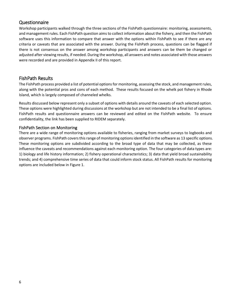# <span id="page-5-0"></span>Questionnaire

Workshop participants walked through the three sections of the FishPath questionnaire: monitoring, assessments, and management rules. Each FishPath question aims to collect information about the fishery, and then the FishPath software uses this information to compare that answer with the options within FishPath to see if there are any criteria or caveats that are associated with the answer. During the FishPath process, questions can be flagged if there is not consensus on the answer among workshop participants and answers can be them be changed or adjusted after viewing results, if needed. During the workshop, all answers and notes associated with those answers were recorded and are provided in Appendix II of this report.

# <span id="page-5-1"></span>FishPath Results

The FishPath process provided a list of potential options for monitoring, assessing the stock, and management rules, along with the potential pros and cons of each method. These results focused on the whelk pot fishery in Rhode Island, which is largely composed of channeled whelks.

Results discussed below represent only a subset of options with details around the caveats of each selected option. These options were highlighted during discussions at the workshop but are not intended to be a final list of options. FishPath results and questionnaire answers can be reviewed and edited on the FishPath website. To ensure confidentiality, the link has been supplied to RIDEM separately.

## <span id="page-5-2"></span>FishPath Section on Monitoring

There are a wide range of monitoring options available to fisheries, ranging from market surveys to logbooks and observer programs. FishPath covers this range of monitoring options identified in the software as 13 specific options. These monitoring options are subdivided according to the broad type of data that may be collected, as these influence the caveats and recommendations against each monitoring option. The four categories of data types are: 1) biology and life history information; 2) fishery operational characteristics; 3) data that yield broad sustainability trends; and 4) comprehensive time series of data that could inform stock status. All FishPath results for monitoring options are included below in Figure 1.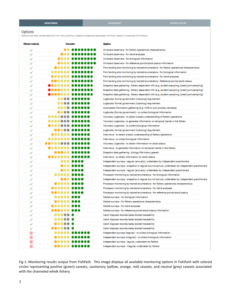## Options

Options have been plotted relative to how many positive or negative caveats are associated with them, based on properties of the fishery.

| Meets criteria |           | Cancato  | Option                                                                                            |
|----------------|-----------|----------|---------------------------------------------------------------------------------------------------|
| ✓              |           |          | On-board observers - for fishery operational characteristics                                      |
| ✓              |           | ,,,,,,,, | On-board observers - for trend analyses                                                           |
| ✓              |           |          | On-board Observers - for biological information                                                   |
| ✓              |           |          | On-board observers - for reference points/stock status information                                |
| ✓              |           |          | Port/landing site monitoring by trained enumerators - for fishery operational characteristics     |
| ✓              |           |          | Port/landing site monitoring by trained enumerators - for biological information                  |
| ✓              |           |          | Port/landing site monitoring by trained enumerators - for trend analyses                          |
| ✓              |           |          | Port/landing site monitoring by trained enumerators - Reference points/stock status               |
| ✓              |           |          | Snapshot data gathering - fishery dependent info (e.g. student sampling; (creel) port-sampling)   |
| ✓              |           |          | Snapshot data gathering - fishery dependent info (e.g. student sampling; (creel) port-sampling)   |
| ✓              |           |          | Snapshot data gathering - fishery dependent info (e.g. student sampling; (creel) port-sampling)   |
| ✓              | ∙         |          | Logbooks: formal government (licensing) requirement                                               |
| ✓              |           |          | Logbooks: formal government (licensing) requirement                                               |
| ✓              |           |          | Automated information gathering (e.g. VMS or cool proxies; cameras)                               |
| ✓              |           |          | Logbooks (formal government) - to collect biological information                                  |
| ✓              |           |          | Voluntary Logbooks - to obtain a basic understanding of fishery operations                        |
| ✓              |           |          | Voluntary Logbooks - to generate information on temporal trends in the fishery                    |
| ✓              |           |          | Voluntary Logbooks - to collect biological information                                            |
| ✓              |           |          | Logbooks: formal government (licensing) requirement                                               |
| ✓              |           |          | Interviews - to obtain a basic understanding of fishery operations                                |
| ✓              |           |          | Interviews - to collect biological information                                                    |
| ✓              |           |          | Voluntary Logbooks - to obtain information on stock status                                        |
| ✓              |           |          | Interviews - to generate information on temporal trends in the fishery                            |
| ✓              |           |          | Snapshot data gathering - biology/life history geared                                             |
| ✓              | .         |          | Interviews - to obtain information on stock status                                                |
| ✓              |           |          | Independent surveys - regular (annually), undertaken by independent practitioners                 |
| ✓              |           |          | Independent surveys - snapshot or regular but not annual, undertaken by independent practitioners |
| ✓              |           |          | Independent surveys - regular (annually), undertaken by independent practitioners                 |
| ✓              | .         |          | Processor monitoring by trained enumerators - for biological information                          |
| ✓              |           |          | Independent surveys - snapshot or regular but not annual, undertaken by independent practitioners |
| ✓              |           |          | Processor monitoring by trained enumerators - for fishery operational characteristics             |
| ✓              |           |          | Processor monitoring by trained enumerators - for trend analyses                                  |
| ✓              |           |          | Processor monitoring by trained enumerators - for reference points/stock status                   |
| ✓              |           |          | Market surveys - for biological information                                                       |
| ✓              |           |          | Market surveys - for fishery operational characteristics                                          |
| ✓              |           |          | Market surveys - for trend analyses                                                               |
| ✓              | 10000 000 |          | Market surveys - for reference points/stock status information                                    |
| ✓              |           |          | Catch disposal records/sales docket/traceability                                                  |
| ✓              |           |          | Catch disposal records/sales docket/traceability                                                  |
| ✓              |           |          | Catch disposal records/sales docket/traceability                                                  |
| ✓              | .         |          | Catch disposal records/sales docket/traceability                                                  |
| ⊛              |           | <b></b>  | Independent surveys (regular) - to collect biological information                                 |
| ⊛              |           |          | Independent surveys (irregular) - to collect biological information                               |
| ⊛              |           |          | Independent surveys - regular, undertaken by fishers                                              |
| ⊛              |           |          | Independent surveys - irregular, undertaken by fishers                                            |

Fig 1: Monitoring results output from FishPath. This image displays all available monitoring options in FishPath with colored circles representing positive (green) caveats, cautionary (yellow, orange, red) caveats, and neutral (grey) caveats associated with the channeled whelk fishery.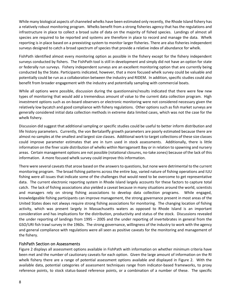While many biological aspects of channeled whelks have been estimated only recently, the Rhode Island fishery has a relatively robust monitoring program. Whelks benefit from a strong fisheries agency that has the regulations and infrastructure in place to collect a broad suite of data on the majority of fished species. Landings of almost all species are required to be reported and systems are therefore in place to record and manage the data. Whelk reporting is in place based on a preexisting system to monitor larger fisheries. There are also fisheries independent surveys designed to catch a broad spectrum of species that provide a relative index of abundance for whelk.

FishPath identified almost every monitoring option as possible in the fishery except for the fishery independent surveys conducted by fishers. The FishPath tool is still in development and simply did not have an option for state or federally run surveys. Fishery independent surveys are an excellent monitoring option that are currently being conducted by the State. Participants indicated, however, that a more focused whelk survey could be valuable and potentially could be run as a collaboration between the industry and RIDEM. In addition, specific studies could also benefit from broader engagement with the industry and potentially sampling with commercial boats.

While all options were possible, discussion during the questionnaire/results indicated that there were few new types of monitoring that would add a tremendous amount of value to the current data collection program. High investment options such as on-board observers or electronic monitoring were not considered necessary given the relatively low bycatch and good compliance with fishery regulations. Other options such as fish market surveys are generally considered initial data collection methods in extreme data limited cases, which was not the case for the whelk fishery.

Discussion did suggest that additional sampling or specific studies could be useful to better inform distribution and life history parameters. Currently, the von Bertalanffy growth parameters are poorly estimated because there are almost no samples at the smallest and largest size classes. Additional work to target collections of these size classes could improve parameter estimates that are in turn used in stock assessments. Additionally, there is little information on the finer scale distribution of whelks within Narragansett Bay or in relation to spawning and nursery areas. Certain management options are not possible (rotational closures, no-take zones) because of the lack of this information. A more focused whelk survey could improve this information.

There were several caveats that arose based on the answers to questions, but none were detrimental to the current monitoring program. The broad fishing patterns across the entire bay, varied nature of fishing operations and IUU fishing were all issues that indicate some of the challenges that would need to be overcome to get representative data. The current electronic reporting system in Rhode Island largely accounts for these factors to capture total catch. The lack of fishing associations also yielded a caveat because in many situations around the world, scientists and managers rely on strong fishing associations to develop data collection programs. While engaged, knowledgeable fishing participants can improve management, the strong governance present in most areas of the United States does not always require strong fishing associations for monitoring. The changing location of fishing activity, which was present largely in Massachusetts waters as opposed to Rhode Island is an important consideration and has implications for the distribution, productivity and status of the stock. Discussions revealed the under reporting of landings from 1995 – 2005 and the under reporting of invertebrates in general from the GSO/URI fish trawl survey in the 1960s. The strong governance, willingness of the industry to work with the agency and general compliance with regulations were all seen as positive caveats for the monitoring and management of the fishery.

## <span id="page-7-0"></span>FishPath Section on Assessments

Figure 2 displays all assessment options available in FishPath with information on whether minimum criteria have been met and the number of cautionary caveats for each option. Given the large amount of information on the RI whelk fishery there are a range of potential assessment options available and displayed in Figure 2. With the available data, potential categories of assessment techniques range from indicator-based frameworks, to proxy reference points, to stock status-based reference points, or a combination of a number of these. The specific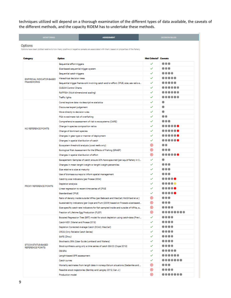techniques utilized will depend on a thorough examination of the different types of data available, the caveats of the different methods, and the capacity RIDEM has to undertake these methods.

| <b>MONITORING</b>                                                                                                                                    | <b>ASSESSMENT</b>                                                                   | <b>DECISION RULES</b> |     |  |
|------------------------------------------------------------------------------------------------------------------------------------------------------|-------------------------------------------------------------------------------------|-----------------------|-----|--|
| Options<br>Options have been plotted relative to how many positive or negative caveats are associated with them, based on properties of the fishery. |                                                                                     |                       |     |  |
| Category                                                                                                                                             | Met Criteria? Caveata                                                               |                       |     |  |
|                                                                                                                                                      | Sequential effort triggers                                                          | ✓                     |     |  |
|                                                                                                                                                      | Size-based sequential trigger system                                                | ✓                     |     |  |
| EMPIRICAL INDICATOR-BASED                                                                                                                            | Sequential catch triggers                                                           | ✓                     |     |  |
|                                                                                                                                                      | Hierachical decision trees                                                          | ✓                     |     |  |
| <b>FRAMEWORKS</b>                                                                                                                                    | Sequential trigger framework involving catch and/or effort, CPUE, size, sex ratio e | ✓                     |     |  |
|                                                                                                                                                      | <b>CUSUM Control Charts</b>                                                         | ✓                     |     |  |
|                                                                                                                                                      | RAPFISH (Multi-dimensional scaling)                                                 | ✓                     |     |  |
|                                                                                                                                                      | <b>Traffic lights</b>                                                               | ✓                     |     |  |
|                                                                                                                                                      | Corral/explore data via descriptive statistics                                      | ✓                     | ۰   |  |
|                                                                                                                                                      | Discourse/expert judgement                                                          | ✓                     | ۰   |  |
|                                                                                                                                                      | Move directly to decision rules                                                     | ✓                     | ۰   |  |
|                                                                                                                                                      | PSA to estimate risk of overfishing                                                 | ✓                     |     |  |
|                                                                                                                                                      | Comprehensive assessment of risk to ecosystems (CARE)                               | ✓                     |     |  |
|                                                                                                                                                      | Change in species composition ratios                                                | ✓                     |     |  |
| <b>NO REFERENCE POINTS</b>                                                                                                                           | Change of dominant species                                                          | ✓                     |     |  |
|                                                                                                                                                      | Changes in gear type or manner of deployment                                        | ✓                     |     |  |
|                                                                                                                                                      | Changes in spatial distribution of catch                                            | ✓                     |     |  |
|                                                                                                                                                      | Ecosystem threshold analysis (coral reefs only)                                     | ⊛                     | . . |  |
|                                                                                                                                                      | Ecological Risk Assessment for the Effects of Fishing (ERAEF)                       | ∞                     |     |  |
|                                                                                                                                                      | Changes in spatial distribution of effort                                           | ⊛                     |     |  |
|                                                                                                                                                      | Escapement: Samples of catch; ensure 30% have spawned (per squid fishery in C       | ✓                     | ۰   |  |
|                                                                                                                                                      | Changes in mean length/weight or length/weight percentiles                          | ✓                     |     |  |
|                                                                                                                                                      | Size relative to size at maturity                                                   | ✓                     |     |  |
|                                                                                                                                                      | Use of biomass surveys to inform spatial management                                 | ✓                     |     |  |
|                                                                                                                                                      | Catch by size indicators (per Froese 2004)                                          | ✓                     |     |  |
|                                                                                                                                                      | Depletion analysis                                                                  | ✓                     |     |  |
| PROXY REFERENCE POINTS                                                                                                                               | Linear regression to recent time series of CPUE                                     | ✓                     |     |  |
|                                                                                                                                                      | <b>Standardised CPUE</b>                                                            | ✓                     |     |  |
|                                                                                                                                                      | Ratio of density inside:outside MPAs (per Babcack and MacCall; McGilliard et al.)   | ⊛                     |     |  |
|                                                                                                                                                      | Sustainability indicators (per Cope and Punt (2009) based on Froese's size-based    | ⊛                     |     |  |
|                                                                                                                                                      | Size-specific catch rate indicators for fish sampled inside and outside of MPAs, a  | ⊛                     |     |  |
|                                                                                                                                                      | Fraction of Lifetime Egg Production (FLEP)                                          | ⊛                     |     |  |
|                                                                                                                                                      | Boosted Regression Tree (BRT) model for stock depletion using catch-data (Previ     | ✓                     |     |  |
|                                                                                                                                                      | Catch-MSY (Martel and Froese 2013)                                                  | ✓                     |     |  |
|                                                                                                                                                      | Depletion Corrected Average Catch (DCAC; MacCall)                                   | ✓                     |     |  |
|                                                                                                                                                      | ORCS (Only Reliable Catch Series)                                                   | ✓                     |     |  |
|                                                                                                                                                      | SAFE (Zhou)                                                                         | ✓                     |     |  |
| STOCK-STATUS-BASED<br><b>REFERENCE POINTS</b>                                                                                                        | Stochastic SRA (User Guide Lombardi and Walters)                                    | ✓                     |     |  |
|                                                                                                                                                      | Stock synthesis using only a time series of catch SS-CO (Cope 2013)                 | ✓                     |     |  |
|                                                                                                                                                      | DB-SRA                                                                              | ✓                     |     |  |
|                                                                                                                                                      | Length-based SPR assessment                                                         | ✓                     |     |  |
|                                                                                                                                                      | Catch curves                                                                        | ✓                     |     |  |
|                                                                                                                                                      | Mortality estimates from length data in nonequilibrium situations (Gedamke and      | ⊛                     |     |  |
|                                                                                                                                                      | Feasible stock trajectories (Bentley and Langley 2012; Can J.)                      | ⊛                     |     |  |
|                                                                                                                                                      | Production model                                                                    | ∞                     |     |  |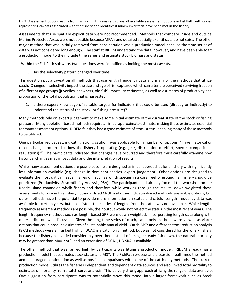Fig 2: Assessment option results from FishPath. This image displays all available assessment options in FishPath with circles representing caveats associated with the fishery and identifies if minimum criteria have been met in the fishery.

Assessments that use spatially explicit data were not recommended. Methods that compare inside and outside Marine Protected Areas were not possible because MPA's and detailed spatially explicit data do not exist. The other major method that was initially removed from consideration was a production model because the time series of data was not considered long enough. The staff at RIDEM understand the data, however, and have been able to fit a production model to the multiple time series and estimate stock biomass and status.

Within the FishPath software, two questions were identified as inciting the most caveats.

1. Has the selectivity pattern changed over time?

This question put a caveat on all methods that use length frequency data and many of the methods that utilize catch. Changes in selectivity impact the size and age of fish captured which can alter the perceived surviving fraction of different age groups (juveniles, spawners, old fish), mortality estimates, as well as estimates of productivity and proportion of the total population that is harvested.

2. Is there expert knowledge of suitable targets for indicators that could be used (directly or indirectly) to understand the status of the stock (or fishing pressure)?

Many methods rely on expert judgement to make some initial estimate of the current state of the stock or fishing pressure. Many depletion-based methods require an initial approximate estimate, making these estimates essential for many assessment options. RIDEM felt they had a good estimate of stock status, enabling many of these methods to be utilized.

One particular red caveat, indicating strong caution, was applicable for a number of options, "Have historical or recent changes occurred in how the fishery is operating (e.g. gear, distribution of effort, species composition, regulations)?" The participants indicated that changes have occurred and therefore must carefully examine how historical changes may impact data and the interpretation of results.

While many assessment options are possible, some are designed as initial approaches for a fishery with significantly less information available (e.g. change in dominant species, expert judgement). Other options are designed to evaluate the most critical needs in a region, such as which species in a coral reef or ground fish fishery should be prioritized (Productivity–Susceptibility Analysis, PSA). The participants had already focused the workshop on the Rhode Island channeled whelk fishery and therefore while working through the results, down weighted these assessments for use in this fishery. Standardized CPUE and other indicator-based methods are viable options, but other methods have the potential to provide more information on status and catch. Length-frequency data was available for certain years, but a consistent time series of lengths from the catch was not available. While lengthfrequency assessment methods are possible, their output would not reflect the status in the most recent years. The length frequency methods such as length-based SPR were down weighted. Incorporating length data along with other indicators was discussed. Given the long time-series of catch, catch-only methods were viewed as viable options that could produce estimates of sustainable annual yield. Catch-MSY and different stock reduction analysis (SRA) methods were all ranked highly. DCAC is a catch only method, but was not considered for the whelk fishery because the fishery has varied considerably over time instead of a single steady fish down, the natural mortality may be greater than M=0.2  $\gamma r^{-1}$ , and an extension of DCAC, DB-SRA is available.

The other method that was ranked high by participants was fitting a production model. RIDEM already has a production model that estimates stock status and MSY. The FishPath process and discussion reaffirmed the method and encouraged continuation as well as possible comparisons with some of the catch only methods. The current production model utilizes the fisheries independent and dependent data sources and also linked total mortality to estimates of mortality from a catch curve analysis. This is a very strong approach utilizing the range of data available. One suggestion from participants was to potentially move this model into a larger framework such as Stock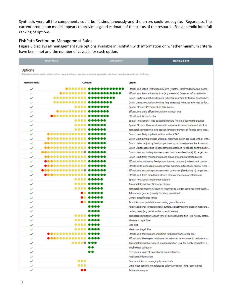Synthesis were all the components could be fit simultaneously and the errors could propagate. Regardless, the current production model appears to provide a good estimate of the status of the resource. See appendix for a full ranking of options.

## <span id="page-10-0"></span>FishPath Section on Management Rules

Figure 3 displays all management rule options available in FishPath with information on whether minimum criteria have been met and the number of caveats for each option.

| <b>MONITORING</b>                                                                                                                         | <b>ASSESSMENT</b>                                                                  |                                    | <b>DECISION RULES</b>                                                                                                                           |
|-------------------------------------------------------------------------------------------------------------------------------------------|------------------------------------------------------------------------------------|------------------------------------|-------------------------------------------------------------------------------------------------------------------------------------------------|
| Options                                                                                                                                   |                                                                                    |                                    |                                                                                                                                                 |
| Options have been plotted relative to how many positive or negative caveats are associated with them, based on properties of the fishery. |                                                                                    |                                    |                                                                                                                                                 |
| <b>Meets criteria</b>                                                                                                                     | <b>Caveats</b>                                                                     | Option                             |                                                                                                                                                 |
| ✓                                                                                                                                         | .                                                                                  |                                    | Effort Limit: Effort restrictions by area (whether informed by formal asses                                                                     |
| ✓                                                                                                                                         |                                                                                    |                                    | Effort Limit: Restrictions by time (e.g. seasons) (whether informed by for                                                                      |
| <br>✓                                                                                                                                     |                                                                                    |                                    | Catch Limits: restrictions by area (whether informed by formal assessmen                                                                        |
| ✓                                                                                                                                         | <br>Catch Limits: restrictions by time (e.g. seasons) (whether informed by for<br> |                                    |                                                                                                                                                 |
| $\checkmark$                                                                                                                              | , , , , , , ,                                                                      |                                    | Spatial Closure: Permanent no-take zones                                                                                                        |
| <br>✓                                                                                                                                     |                                                                                    |                                    | Effort Limit: Daily effort limit; with or without TAE                                                                                           |
| <br>✓                                                                                                                                     |                                                                                    | <b>Effort Limit: Limited entry</b> |                                                                                                                                                 |
| ✓                                                                                                                                         |                                                                                    |                                    | Spatial Restriction: Fixed seasonal closure (for e.g.) spawning grounds                                                                         |
| ✓                                                                                                                                         | ,,,,,                                                                              |                                    | Spatial Closure: Closures invoked in response to some perceived stock st                                                                        |
| <br>✓                                                                                                                                     |                                                                                    |                                    | Temporal Restriction: Fixed season length or number of fishing days, inde                                                                       |
| ✓                                                                                                                                         |                                                                                    |                                    | Catch Limit: Daily trip limit; with or without TAC                                                                                              |
| <br>✓                                                                                                                                     |                                                                                    |                                    | Catch Limit: Limit per gear unit (e.g. maximum catch per trap); with or with                                                                    |
| ✓                                                                                                                                         | <br>Catch Limits: adjust by fixed proportions up or down (no feedback control      |                                    |                                                                                                                                                 |
| <br>✓<br>                                                                                                                                 |                                                                                    |                                    | Catch Limits: according to assessment outcomes (feedback control rule):                                                                         |
| ✓<br><br>✓                                                                                                                                |                                                                                    |                                    | Catch Limit: according to assessment outcomes (feedback): ii) target bas<br>Catch Limit: from monitoring closed areas or marine protected areas |
| <br>✓                                                                                                                                     |                                                                                    |                                    | Effort Limits: adjust by fixed proportions up or down (no feedback control                                                                      |
| <br>$\checkmark$                                                                                                                          |                                                                                    |                                    | Effort Limits: according to assessment outcomes (feedback control rule):                                                                        |
| <br>$\checkmark$                                                                                                                          |                                                                                    |                                    | Effort Limit: according to assessment outcomes (feedback): ii) target bas                                                                       |
| <br>✓                                                                                                                                     |                                                                                    |                                    | Effort Limit: from monitoring closed areas or marine protected areas                                                                            |
| ✓                                                                                                                                         |                                                                                    |                                    | Spatial Restriction: move-on provisions                                                                                                         |
| ✓                                                                                                                                         |                                                                                    |                                    | Temporal Restriction: Seasonal closure                                                                                                          |
| ✓                                                                                                                                         |                                                                                    |                                    | Temporal Restriction: Closure in response to trigger being reached/stock                                                                        |
| ✓                                                                                                                                         |                                                                                    |                                    | Take of one gender (usually females) prohibited                                                                                                 |
| ✓                                                                                                                                         |                                                                                    | Gender-specific size limits        |                                                                                                                                                 |
| ✓                                                                                                                                         | тюо                                                                                |                                    | Restrictions or prohibitions on taking gravid females                                                                                           |
| ✓                                                                                                                                         |                                                                                    |                                    | Apply additional (precautionary) buffers/adjustments to chosen measure                                                                          |
| ✓                                                                                                                                         |                                                                                    |                                    | Levies, taxes (e.g. as incentive to avoid areas)                                                                                                |
| ✓                                                                                                                                         |                                                                                    |                                    | Temporal Restriction: Adjust time of day allowed to fish (e.g. no day settin                                                                    |
| ✓                                                                                                                                         |                                                                                    | Minimum Legal Size                 |                                                                                                                                                 |
| ✓                                                                                                                                         |                                                                                    | Size slot                          |                                                                                                                                                 |
| ✓                                                                                                                                         |                                                                                    | Maximum Legal Size                 |                                                                                                                                                 |
| .<br>✓                                                                                                                                    |                                                                                    |                                    | Effort Limit: Maxmimum soak time for hooks/traps/other gear                                                                                     |
| .<br>✓<br>                                                                                                                                |                                                                                    |                                    | Effort Limit: Fixed gear unit limits not adjusted in response to performanc                                                                     |
| ✓                                                                                                                                         |                                                                                    | Invoke data collection             | Temporal Restriction: Adjust season duration (e.g. for highly productive, s                                                                     |
| ✓                                                                                                                                         | 10                                                                                 |                                    | Overrides in case of exceptional circumstances                                                                                                  |
| ✓<br>✓                                                                                                                                    |                                                                                    | Additional information             |                                                                                                                                                 |
| <br>✓                                                                                                                                     |                                                                                    |                                    | Gear restrictions: managing by selectivity                                                                                                      |
| <br>✓                                                                                                                                     |                                                                                    |                                    | Other gear controls not related to selectivity (gear TYPE restrictions)                                                                         |
| <br>✓                                                                                                                                     |                                                                                    | Retain status quo                  |                                                                                                                                                 |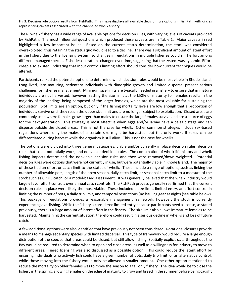Fig 3: Decision rule option results from FishPath. This image displays all available decision rule options in FishPath with circles representing caveats associated with the channeled whelk fishery.

The RI whelk fishery has a wide range of available options for decision rules, with varying levels of caveats provided by FishPath. The most influential questions which produced these caveats are in Table 1. Major caveats in red highlighted a few important issues. Based on the current status determination, the stock was considered overexploited, thus retaining the status quo would lead to a decline. There was a significant amount of latent effort in the fishery due to the licensing system, so changes in regulations in multiple fisheries could shift effort among different managed species. Fisheries operations changed over time, suggesting that the system was dynamic. Effort creep also existed, indicating that input controls limiting effort should consider how current techniques would be altered.

Participants ranked the potential options to determine which decision rules would be most viable in Rhode Island. Long lived, late maturing, sedentary individuals with dimorphic growth and limited dispersal present serious challenges for fisheries management. Minimum size limits are typically needed in a fishery to ensure that immature individuals are not harvested; however, setting the size limit at the L50% of maturity for females results in the majority of the landings being composed of the larger females, which are the most valuable for sustaining the population. Slot limits are an option, but only if the fishing mortality levels are low enough that a proportion of individuals survive until they reach the upper size limit and are no longer subject to exploitation. Closed areas are commonly used where females grow larger than males to ensure the large females survive and are a source of eggs for the next generation. This strategy is most effective when eggs and/or larvae have a pelagic stage and can disperse outside the closed areas. This is not the case for whelk. Other common strategies include sex-based regulations where only the males of a certain size might be harvested, but this only works if sexes can be differentiated during harvest while the organism is still alive. This is not the case for whelks.

The options were divided into three general categories: viable and/or currently in place decision rules; decision rules that could potentially work; and nonviable decisions rules. The combination of whelk life history and whelk fishing impacts determined the nonviable decision rules and they were removed/down weighted. Potential decision rules were options that were not currently in use, but were potentially viable in Rhode Island. The majority of these tied an effort or catch limit to the status of whelk. These include a range of options, such as linking the number of allowable pots, length of the open season, daily catch limit, or seasonal catch limit to a measure of the stock such as CPUE, catch, or a model-based assessment. It was generally believed that the whelk industry would largely favor effort controls over annual catch controls. The FishPath process generally reaffirmed that the current decision rules in place were likely the most viable. These included a size limit, limited entry, an effort control in limiting the number of pots, a daily trip limit, and temporal restrictions (no hauling gear at night) (see table below). This package of regulations provides a reasonable management framework; however, the stock is currently experiencing overfishing. While the fishery is considered limited entry because participants need a license, as stated previously, there is a large amount of latent effort in the fishery. The size limit also allows immature females to be harvested. Maintaining the current situation, therefore could result in a serious decline in whelks and loss of future catch.

A few additional options were also identified that have previously not been considered. Rotational closures provide a means to manage sedentary species with limited dispersal. This type of framework would require a large enough distribution of the species that areas could be closed, but still allow fishing. Spatially explicit data throughout the Bay would be required to determine when to open and close areas, as well as a willingness for industry to move to different areas. Tiered licensing was also discussed as a possible option. This could reduce the latent effort by ensuring individuals who actively fish could have a given number of pots, daily trip limit, or an alternative control, while those moving into the fishery would only be allowed a smaller amount. One other option mentioned to reduce the mortality on older females was to move the season to a fall only fishery. The idea would be to close the fishery in the spring, allowing females on the edge of maturity to grow and breed in the summer before being caught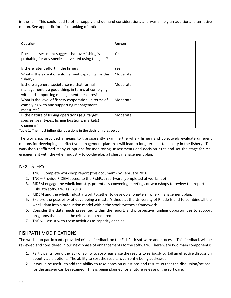in the fall. This could lead to other supply and demand considerations and was simply an additional alternative option. See appendix for a full ranking of options.

| Question                                              | Answer   |
|-------------------------------------------------------|----------|
|                                                       |          |
| Does an assessment suggest that overfishing is        | Yes      |
| probable, for any species harvested using the gear?   |          |
| Is there latent effort in the fishery?                | Yes      |
| What is the extent of enforcement capability for this | Moderate |
| fishery?                                              |          |
| Is there a general societal sense that formal         | Moderate |
| management is a good thing, in terms of complying     |          |
| with and supporting management measures?              |          |
| What is the level of fishery cooperation, in terms of | Moderate |
| complying with and supporting management              |          |
| measures?                                             |          |
| Is the nature of fishing operations (e.g. target      | Moderate |
| species, gear types, fishing locations, markets)      |          |
| changing?                                             |          |

Table 1: The most influential questions in the decision rules section.

The workshop provided a means to transparently examine the whelk fishery and objectively evaluate different options for developing an effective management plan that will lead to long term sustainability in the fishery. The workshop reaffirmed many of options for monitoring, assessments and decision rules and set the stage for real engagement with the whelk industry to co-develop a fishery management plan.

## <span id="page-12-0"></span>NEXT STEPS

- 1. TNC Complete workshop report (this document) by February 2018
- 2. TNC Provide RIDEM access to the FishPath software (completed at workshop)
- 3. RIDEM engage the whelk industry, potentially convening meetings or workshops to review the report and FishPath software. Fall 2018
- 4. RIDEM and the whelk Industry work together to develop a long-term whelk management plan.
- 5. Explore the possibility of developing a master's thesis at the University of Rhode Island to combine all the whelk data into a production model within the stock synthesis framework.
- 6. Consider the data needs presented within the report, and prospective funding opportunities to support programs that collect the critical data required.
- 7. TNC will assist with these activities as capacity enables.

# <span id="page-12-1"></span>FISHPATH MODIFICATIONS

The workshop participants provided critical feedback on the FishPath software and process. This feedback will be reviewed and considered in our next phase of enhancements to the software. There were two main components:

- 1. Participants found the lack of ability to sort/rearrange the results to seriously curtail an effective discussion about viable options. The ability to sort the results is currently being addressed.
- 2. It would be useful to add the ability to take notes on questions and results so that the discussion/rational for the answer can be retained. This is being planned for a future release of the software.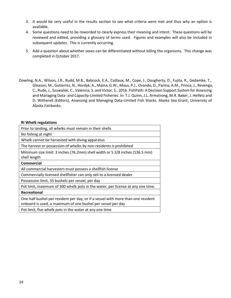- 3. It would be very useful in the results section to see what criteria were met and thus why an option is available.
- 4. Some questions need to be reworded to clearly express their meaning and intent. These questions will be reviewed and edited, providing a glossary of terms used. Figures and examples will also be included in subsequent updates. This is currently occurring.
- 5. Add a question about whether sexes can be differentiated without killing the organisms. This change was completed in October 2017.
- Dowling, N.A., Wilson, J.R., Rudd, M.B., Babcock, E.A., Caillaux, M., Cope, J., Dougherty, D., Fujita, R., Gedamke, T., Gleason, M., Gutierrez, N., Hordyk, A., Maina, G.W., Mous, P.J., Ovando, D., Parma, A.M., Prince, J., Revenga, C., Rude, J., Szuwalski, C., Valencia, S. and Victor, S., 2016. FishPath: A Decision Support System for Assessing and Managing Data- and Capacity-Limited Fisheries. In: T.J. Quinn, J.L. Armstrong, M.R. Baker, J. Heifetz and D. Witherell (Editors), Assessing and Managing Data-Limited Fish Stocks. Alaska Sea Grant, University of Alaska Fairbanks.

#### **RI Whelk regulations**

| Prior to landing, all whelks must remain in their shells                                                                                        |
|-------------------------------------------------------------------------------------------------------------------------------------------------|
| No fishing at night                                                                                                                             |
| Whelk cannot be harvested with diving apparatus                                                                                                 |
| The harvest or possession of whelks by non-residents is prohibited                                                                              |
| Minimum size limit: 3 inches (76.2mm) shell width or 5 3/8 inches (136.5 mm)<br>shell length                                                    |
| <b>Commercial</b>                                                                                                                               |
| All commercial harvesters must possess a shellfish license                                                                                      |
| Commercially licensed shellfisher can only sell to a licensed dealer                                                                            |
| Possession limit, 35 bushels per vessel, per day                                                                                                |
| Pot limit, maximum of 300 whelk pots in the water, per license at any one time.                                                                 |
| Recreational                                                                                                                                    |
| One half bushel per resident per day; or if a vessel with more than one resident<br>onboard is used, a maximum of one bushel per vessel per day |
| Pot limit, five whelk pots in the water at any one time                                                                                         |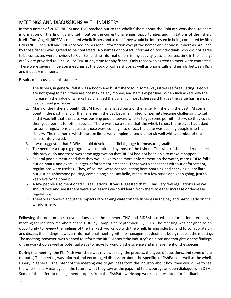# <span id="page-14-0"></span>MEETINGS AND DISCUSSIONS WITH INDUSTRY

In the summer of 2018, RIDEM and TNC reached out to the whelk fishers about the FishPath workshop, to share information on the findings and get input on the current challenges, opportunities and limitations of the fishery itself. Tom Angell (RIDEM) contacted whelk fishers and asked if they would be interested in being contacted by Rich Bell (TNC). Rich Bell and TNC received no personal information except the names and phone numbers as provided by those fishers who agreed to be contacted. No names or contact information for individuals who did not agree to be contacted were provided to Rich Bell and no information on fishing activity (catch, licenses, time in the fishery, etc.) were provided to Rich Bell or TNC at any time for any fisher. Only those who agreed to meet were contacted. There were several in person meetings at the dock or coffee shops as well as phone calls and emails between Rich and industry members.

Results of discussions this summer

- 1. The fishers, in general, felt it was a boom and bust fishery so in some ways it was self-regulating. People are not going to fish if they are not making any money, and bait is expensive. When Rich asked how the increase in the value of whelks had changed the dynamic, most fishers said that as the value has risen, so has bait and gas prices.
- 2. Many of the fishers thought RIDEM had mismanaged parts of the larger RI fishery in the past. At some point in the past, many of the fisheries in the Bay became limited, or permits became challenging to get, and it was felt that the state was pushing people toward whelks to get some permit history, so they could then get a permit for other species. There was also a sense that the whelk fishers themselves had asked for some regulations and just as those were coming into effect, the state was pushing people into the fishery. The manner in which the size limits were implemented did not sit well with a number of the fishers interviewed.
- 3. It was suggested that RIDEM should develop an official gauge for measuring snails.
- 4. The need for a trap tag program was mentioned by most of the fishers. The whelk fishers had requested this previously and there was some aggravation that RIDEM had not been able to make it happen.
- 5. Several people mentioned that they would like to see more enforcement on the water, more RIDEM folks out on boats, and overall a larger enforcement presence. There was a sense that without enforcement, regulations were useless. They, of course, were not requesting boat boarding and checking every flare, but just neighborhood policing, come along side, say hello, measure a few snails and keep going, just to keep everyone honest.
- 6. A few people also mentioned CT regulations. It was suggested that CT has very few regulations and we should look and see if there were any lessons we could learn from them to either increase or decrease regulations.
- 7. There was concern about the impacts of warming water on the fisheries in the bay and particularly on the whelk fishery.

Following the one-on-one conversations over the summer, TNC and RIDEM hosted an informational exchange meeting for industry members at the URI Bay Campus on September 11, 2018. The meeting was designed as an opportunity to review the findings of the FishPath workshop with the whelk fishing industry, and to collaborate on and discuss the findings. It was an informational meeting with no management decisions being made at the meeting. The meeting, however, was planned to inform the RIDEM about the industry's opinions and thoughts on the findings of the workshop as well as potential ways to move forward on the science and management of the species.

During the meeting, the FishPath workshop was reviewed (e.g. the process, the types of questions, and some of the outputs.) The meeting was informal and encouraged discussion about the specifics of FishPath, as well as the whelk fishery in general. The intent of the meeting was to get ideas from the industry about how they would like to see the whelk fishery managed in the future, what they saw as the gaps and to encourage an open dialogue with DEM. Some of the different management outputs from the FishPath workshop were also presented for feedback.